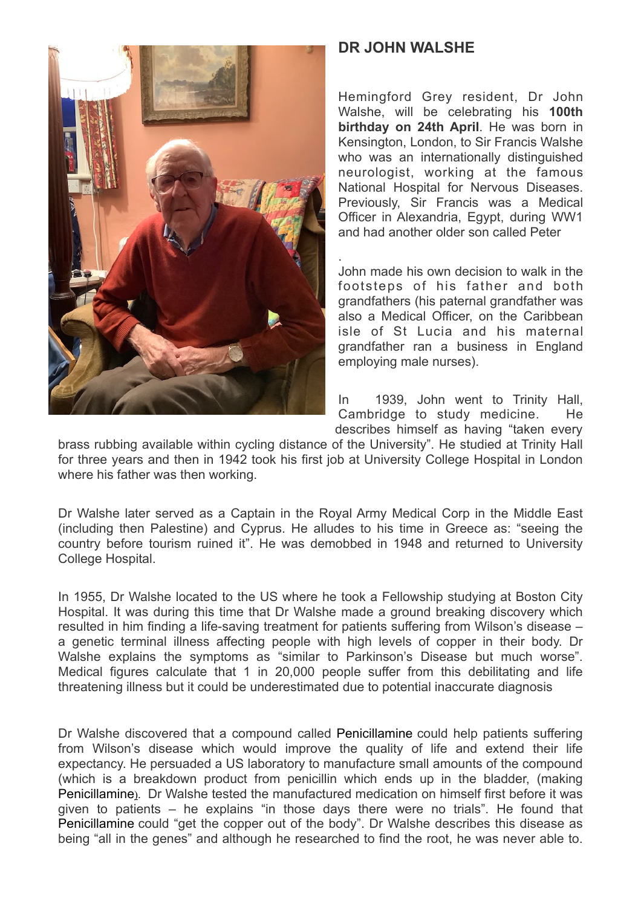

## **DR JOHN WALSHE**

Hemingford Grey resident, Dr John Walshe, will be celebrating his **100th birthday on 24th April**. He was born in Kensington, London, to Sir Francis Walshe who was an internationally distinguished neurologist, working at the famous National Hospital for Nervous Diseases. Previously, Sir Francis was a Medical Officer in Alexandria, Egypt, during WW1 and had another older son called Peter

. John made his own decision to walk in the footsteps of his father and both grandfathers (his paternal grandfather was also a Medical Officer, on the Caribbean isle of St Lucia and his maternal grandfather ran a business in England employing male nurses).

In 1939, John went to Trinity Hall, Cambridge to study medicine. He describes himself as having "taken every

brass rubbing available within cycling distance of the University". He studied at Trinity Hall for three years and then in 1942 took his first job at University College Hospital in London where his father was then working.

Dr Walshe later served as a Captain in the Royal Army Medical Corp in the Middle East (including then Palestine) and Cyprus. He alludes to his time in Greece as: "seeing the country before tourism ruined it". He was demobbed in 1948 and returned to University College Hospital.

In 1955, Dr Walshe located to the US where he took a Fellowship studying at Boston City Hospital. It was during this time that Dr Walshe made a ground breaking discovery which resulted in him finding a life-saving treatment for patients suffering from Wilson's disease – a genetic terminal illness affecting people with high levels of copper in their body. Dr Walshe explains the symptoms as "similar to Parkinson's Disease but much worse". Medical figures calculate that 1 in 20,000 people suffer from this debilitating and life threatening illness but it could be underestimated due to potential inaccurate diagnosis

Dr Walshe discovered that a compound called Penicillamine could help patients suffering from Wilson's disease which would improve the quality of life and extend their life expectancy. He persuaded a US laboratory to manufacture small amounts of the compound (which is a breakdown product from penicillin which ends up in the bladder, (making Penicillamine). Dr Walshe tested the manufactured medication on himself first before it was given to patients – he explains "in those days there were no trials". He found that Penicillamine could "get the copper out of the body". Dr Walshe describes this disease as being "all in the genes" and although he researched to find the root, he was never able to.